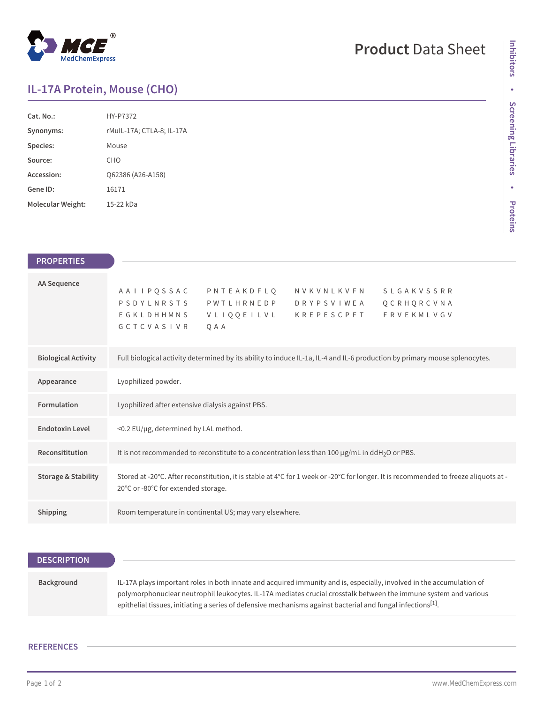## $^{\circledR}$ MedChemExpress

# **Product** Data Sheet

### **IL-17A Protein, Mouse (CHO)**

| Cat. No.          | HY-P7372                  |
|-------------------|---------------------------|
| Synonyms:         | rMuIL-17A; CTLA-8; IL-17A |
| Species:          | Mouse                     |
| Source:           | CHO                       |
| Accession:        | O62386 (A26-A158)         |
| Gene ID:          | 16171                     |
| Molecular Weight: | 15-22 kDa                 |

| <b>PROPERTIES</b>              |                                                                                                                                                                                                                                        |
|--------------------------------|----------------------------------------------------------------------------------------------------------------------------------------------------------------------------------------------------------------------------------------|
| AA Sequence                    | A A I I P Q S S A C P N T E A K D F L Q N V K V N L K V F N<br><b>SLGAKVSSRR</b><br>PSDYLNRSTS PWTLHRNEDP<br>QCRHQRCVNA<br>D R Y P S V I W E A<br><b>FRVEKMLVGV</b><br>EGKLDHHMNS<br>VLIQQEILVL KREPESCPFT<br><b>GCTCVASIVR</b><br>QAA |
| <b>Biological Activity</b>     | Full biological activity determined by its ability to induce IL-1a, IL-4 and IL-6 production by primary mouse splenocytes.                                                                                                             |
| Appearance                     | Lyophilized powder.                                                                                                                                                                                                                    |
| Formulation                    | Lyophilized after extensive dialysis against PBS.                                                                                                                                                                                      |
| <b>Endotoxin Level</b>         | <0.2 EU/µg, determined by LAL method.                                                                                                                                                                                                  |
| Reconsititution                | It is not recommended to reconstitute to a concentration less than 100 µg/mL in ddH <sub>2</sub> O or PBS.                                                                                                                             |
| <b>Storage &amp; Stability</b> | Stored at -20°C. After reconstitution, it is stable at 4°C for 1 week or -20°C for longer. It is recommended to freeze aliquots at -<br>20°C or -80°C for extended storage.                                                            |
| Shipping                       | Room temperature in continental US; may vary elsewhere.                                                                                                                                                                                |

| <b>DESCRIPTION</b> |                                                                                                                                                                                                                                                                                                                                                                       |
|--------------------|-----------------------------------------------------------------------------------------------------------------------------------------------------------------------------------------------------------------------------------------------------------------------------------------------------------------------------------------------------------------------|
|                    |                                                                                                                                                                                                                                                                                                                                                                       |
| Background         | IL-17A plays important roles in both innate and acquired immunity and is, especially, involved in the accumulation of<br>polymorphonuclear neutrophil leukocytes. IL-17A mediates crucial crosstalk between the immune system and various<br>epithelial tissues, initiating a series of defensive mechanisms against bacterial and fungal infections <sup>[1]</sup> . |

#### **REFERENCES**